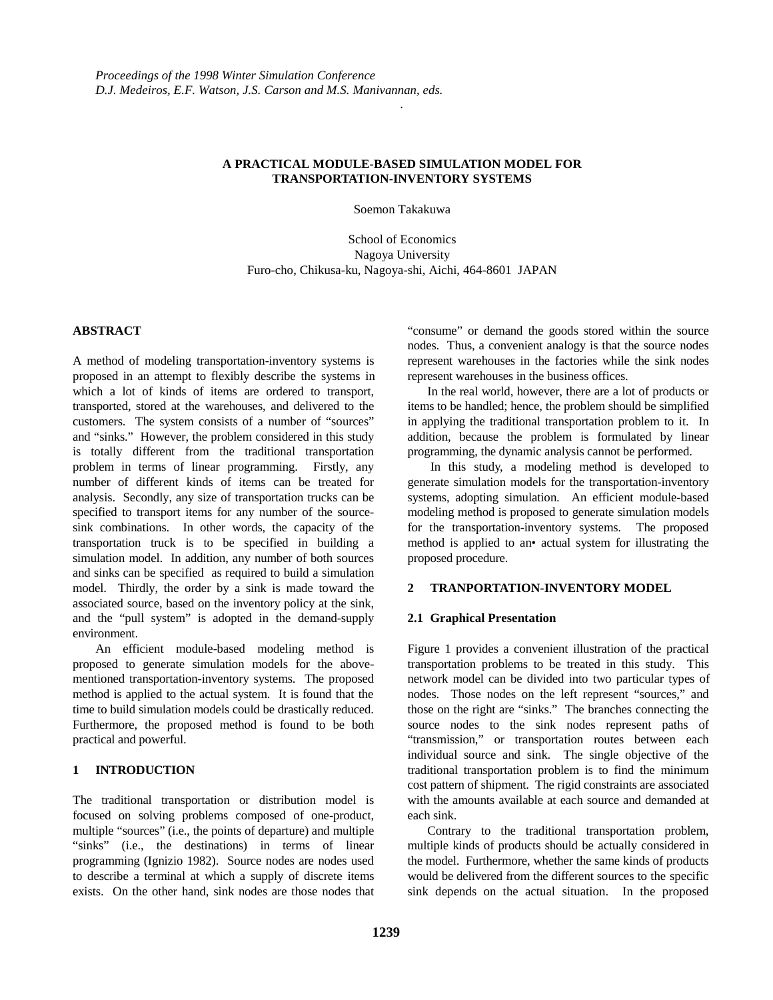## **A PRACTICAL MODULE-BASED SIMULATION MODEL FOR TRANSPORTATION-INVENTORY SYSTEMS**

*.*

Soemon Takakuwa

School of Economics Nagoya University Furo-cho, Chikusa-ku, Nagoya-shi, Aichi, 464-8601 JAPAN

### **ABSTRACT**

A method of modeling transportation-inventory systems is proposed in an attempt to flexibly describe the systems in which a lot of kinds of items are ordered to transport, transported, stored at the warehouses, and delivered to the customers. The system consists of a number of "sources" and "sinks." However, the problem considered in this study is totally different from the traditional transportation problem in terms of linear programming. Firstly, any number of different kinds of items can be treated for analysis. Secondly, any size of transportation trucks can be specified to transport items for any number of the sourcesink combinations. In other words, the capacity of the transportation truck is to be specified in building a simulation model. In addition, any number of both sources and sinks can be specified as required to build a simulation model. Thirdly, the order by a sink is made toward the associated source, based on the inventory policy at the sink, and the "pull system" is adopted in the demand-supply environment.

An efficient module-based modeling method is proposed to generate simulation models for the abovementioned transportation-inventory systems. The proposed method is applied to the actual system. It is found that the time to build simulation models could be drastically reduced. Furthermore, the proposed method is found to be both practical and powerful.

### **1 INTRODUCTION**

The traditional transportation or distribution model is focused on solving problems composed of one-product, multiple "sources" (i.e., the points of departure) and multiple "sinks" (i.e., the destinations) in terms of linear programming (Ignizio 1982). Source nodes are nodes used to describe a terminal at which a supply of discrete items exists. On the other hand, sink nodes are those nodes that

"consume" or demand the goods stored within the source nodes. Thus, a convenient analogy is that the source nodes represent warehouses in the factories while the sink nodes represent warehouses in the business offices.

In the real world, however, there are a lot of products or items to be handled; hence, the problem should be simplified in applying the traditional transportation problem to it. In addition, because the problem is formulated by linear programming, the dynamic analysis cannot be performed.

In this study, a modeling method is developed to generate simulation models for the transportation-inventory systems, adopting simulation. An efficient module-based modeling method is proposed to generate simulation models for the transportation-inventory systems. The proposed method is applied to an• actual system for illustrating the proposed procedure.

### **2 TRANPORTATION-INVENTORY MODEL**

## **2.1 Graphical Presentation**

Figure 1 provides a convenient illustration of the practical transportation problems to be treated in this study. This network model can be divided into two particular types of nodes. Those nodes on the left represent "sources," and those on the right are "sinks." The branches connecting the source nodes to the sink nodes represent paths of "transmission," or transportation routes between each individual source and sink. The single objective of the traditional transportation problem is to find the minimum cost pattern of shipment. The rigid constraints are associated with the amounts available at each source and demanded at each sink.

Contrary to the traditional transportation problem, multiple kinds of products should be actually considered in the model. Furthermore, whether the same kinds of products would be delivered from the different sources to the specific sink depends on the actual situation. In the proposed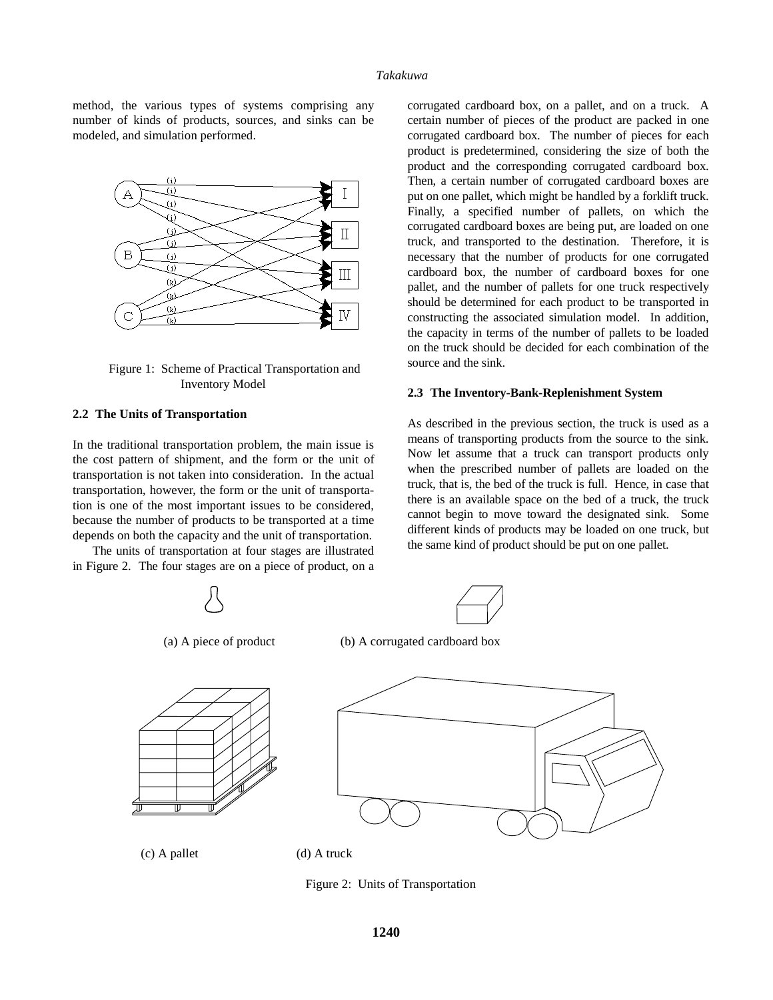#### *Takakuwa*

method, the various types of systems comprising any number of kinds of products, sources, and sinks can be modeled, and simulation performed.



Figure 1: Scheme of Practical Transportation and Inventory Model

#### **2.2 The Units of Transportation**

In the traditional transportation problem, the main issue is the cost pattern of shipment, and the form or the unit of transportation is not taken into consideration. In the actual transportation, however, the form or the unit of transportation is one of the most important issues to be considered, because the number of products to be transported at a time depends on both the capacity and the unit of transportation.

The units of transportation at four stages are illustrated in Figure 2. The four stages are on a piece of product, on a

corrugated cardboard box, on a pallet, and on a truck. A certain number of pieces of the product are packed in one corrugated cardboard box. The number of pieces for each product is predetermined, considering the size of both the product and the corresponding corrugated cardboard box. Then, a certain number of corrugated cardboard boxes are put on one pallet, which might be handled by a forklift truck. Finally, a specified number of pallets, on which the corrugated cardboard boxes are being put, are loaded on one truck, and transported to the destination. Therefore, it is necessary that the number of products for one corrugated cardboard box, the number of cardboard boxes for one pallet, and the number of pallets for one truck respectively should be determined for each product to be transported in constructing the associated simulation model. In addition, the capacity in terms of the number of pallets to be loaded on the truck should be decided for each combination of the source and the sink.

#### **2.3 The Inventory-Bank-Replenishment System**

As described in the previous section, the truck is used as a means of transporting products from the source to the sink. Now let assume that a truck can transport products only when the prescribed number of pallets are loaded on the truck, that is, the bed of the truck is full. Hence, in case that there is an available space on the bed of a truck, the truck cannot begin to move toward the designated sink. Some different kinds of products may be loaded on one truck, but the same kind of product should be put on one pallet.



(c) A pallet (d) A truck

Figure 2: Units of Transportation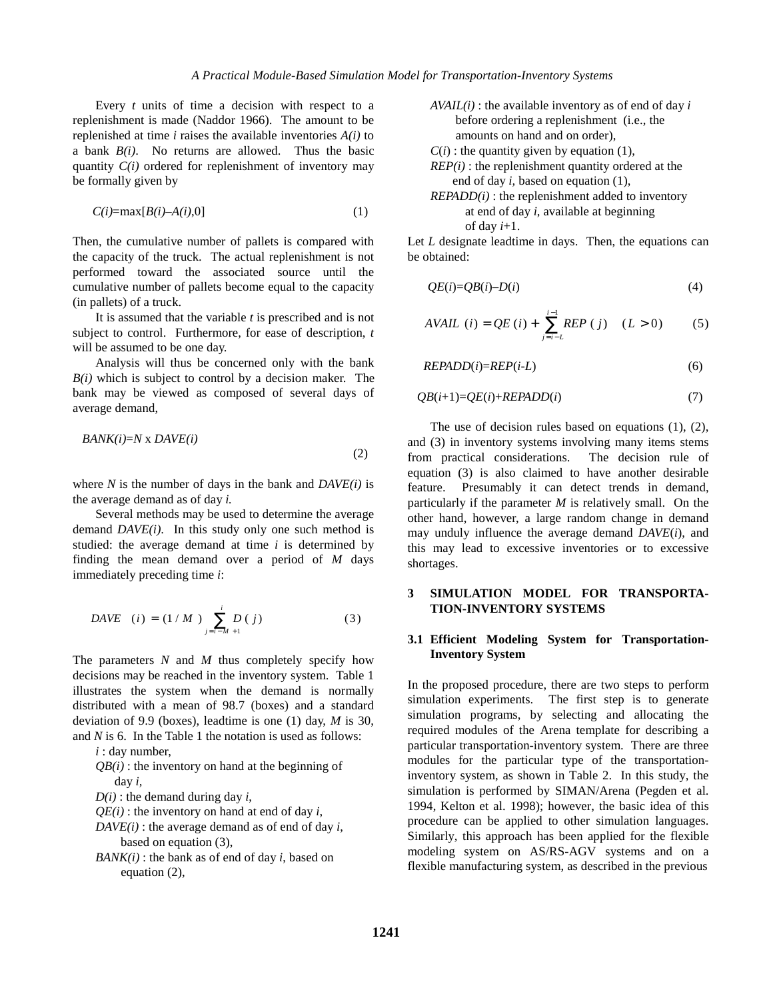Every *t* units of time a decision with respect to a replenishment is made (Naddor 1966). The amount to be replenished at time *i* raises the available inventories *A(i)* to a bank *B(i)*. No returns are allowed. Thus the basic quantity *C(i)* ordered for replenishment of inventory may be formally given by

$$
C(i) = \max[B(i) - A(i), 0] \tag{1}
$$

Then, the cumulative number of pallets is compared with the capacity of the truck. The actual replenishment is not performed toward the associated source until the cumulative number of pallets become equal to the capacity (in pallets) of a truck.

It is assumed that the variable *t* is prescribed and is not subject to control. Furthermore, for ease of description, *t* will be assumed to be one day.

Analysis will thus be concerned only with the bank *B(i)* which is subject to control by a decision maker. The bank may be viewed as composed of several days of average demand,

$$
BANK(i)=N \times DAVE(i)
$$
\n(2)

where *N* is the number of days in the bank and *DAVE(i)* is the average demand as of day *i.*

Several methods may be used to determine the average demand *DAVE(i)*. In this study only one such method is studied: the average demand at time *i* is determined by finding the mean demand over a period of *M* days immediately preceding time *i*:

$$
DAVE \quad (i) = (1/M) \sum_{j=i-M+1}^{i} D(j) \tag{3}
$$

The parameters *N* and *M* thus completely specify how decisions may be reached in the inventory system. Table 1 illustrates the system when the demand is normally distributed with a mean of 98.7 (boxes) and a standard deviation of 9.9 (boxes), leadtime is one (1) day, *M* is 30, and *N* is 6. In the Table 1 the notation is used as follows:

- *i* : day number,
- *QB(i)* : the inventory on hand at the beginning of day *i,*
- *D(i)* : the demand during day *i*,
- *QE(i)* : the inventory on hand at end of day *i*,
- $DAVE(i)$ : the average demand as of end of day *i*, based on equation (3),
- *BANK(i)* : the bank as of end of day *i*, based on equation (2),
- *AVAIL(i)* : the available inventory as of end of day *i* before ordering a replenishment (i.e., the amounts on hand and on order),
- $C(i)$ : the quantity given by equation (1),
- $REP(i)$ : the replenishment quantity ordered at the end of day *i*, based on equation (1),
- $REPADD(i)$ : the replenishment added to inventory at end of day *i*, available at beginning of day  $i+1$ .

Let *L* designate leadtime in days. Then, the equations can be obtained:

$$
QE(i)=QB(i)-D(i)
$$
\n<sup>(4)</sup>

$$
AVAIL (i) = QE (i) + \sum_{j=i-L}^{i-1} REP (j) \quad (L > 0)
$$
 (5)

$$
REPAD(i)=REP(i-L)
$$
 (6)

$$
QB(i+1)=QE(i)+REPAD(i)
$$
\n(7)

The use of decision rules based on equations (1), (2), and (3) in inventory systems involving many items stems from practical considerations. The decision rule of equation (3) is also claimed to have another desirable feature. Presumably it can detect trends in demand, particularly if the parameter *M* is relatively small. On the other hand, however, a large random change in demand may unduly influence the average demand *DAVE*(*i*), and this may lead to excessive inventories or to excessive shortages.

### **3 SIMULATION MODEL FOR TRANSPORTA-TION-INVENTORY SYSTEMS**

### **3.1 Efficient Modeling System for Transportation-Inventory System**

In the proposed procedure, there are two steps to perform simulation experiments. The first step is to generate simulation programs, by selecting and allocating the required modules of the Arena template for describing a particular transportation-inventory system. There are three modules for the particular type of the transportationinventory system, as shown in Table 2. In this study, the simulation is performed by SIMAN/Arena (Pegden et al. 1994, Kelton et al. 1998); however, the basic idea of this procedure can be applied to other simulation languages. Similarly, this approach has been applied for the flexible modeling system on AS/RS-AGV systems and on a flexible manufacturing system, as described in the previous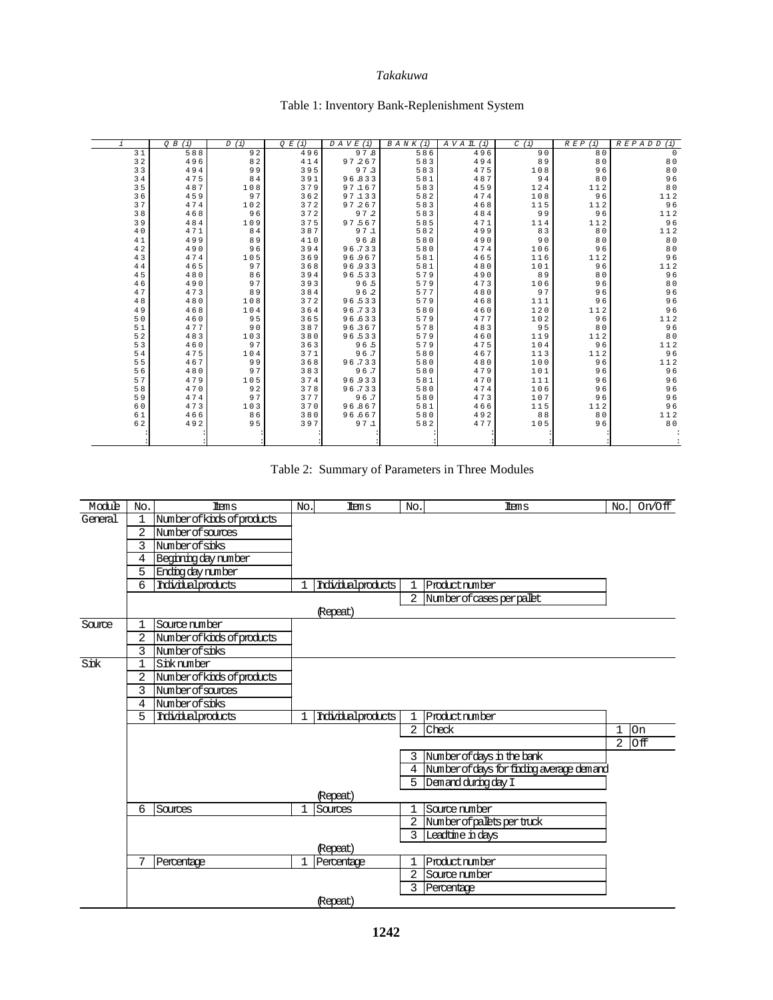# *Takakuwa*

# Table 1: Inventory Bank-Replenishment System

|    | $O$ $B$ $(i)$ | D(j) | O E (i) | D A V E (i) | B A N K (i) | A V A IL (i) | C(i) | R E P (i) | R E P A D D (i) |
|----|---------------|------|---------|-------------|-------------|--------------|------|-----------|-----------------|
| 31 | 588           | 92   | 496     | 97.8        | 586         | 496          | 90   | 80        | $\Omega$        |
| 32 | 496           | 82   | 414     | 97.267      | 583         | 494          | 89   | 80        | 80              |
| 33 | 494           | 99   | 395     | 97.3        | 583         | 475          | 108  | 96        | 80              |
| 34 | 475           | 84   | 391     | 96.833      | 581         | 487          | 94   | 80        | 96              |
| 35 | 487           | 108  | 379     | 97.167      | 583         | 459          | 124  | 112       | 80              |
| 36 | 459           | 97   | 362     | 97.133      | 582         | 474          | 108  | 96        | 112             |
| 37 | 474           | 102  | 372     | 97.267      | 583         | 468          | 115  | 112       | 96              |
| 38 | 468           | 96   | 372     | 97.2        | 583         | 484          | 99   | 96        | 112             |
| 39 | 484           | 109  | 375     | 97.567      | 585         | 471          | 114  | 112       | 96              |
| 40 | 471           | 84   | 387     | 97.1        | 582         | 499          | 83   | 80        | 112             |
| 41 | 499           | 89   | 410     | 96.8        | 580         | 490          | 90   | 80        | 80              |
| 42 | 490           | 96   | 394     | 96.733      | 580         | 474          | 106  | 96        | 80              |
| 43 | 474           | 105  | 369     | 96.967      | 581         | 465          | 116  | 112       | 96              |
| 44 | 465           | 97   | 368     | 96.933      | 581         | 480          | 101  | 96        | 112             |
| 45 | 480           | 86   | 394     | 96.533      | 579         | 490          | 89   | 80        | 96              |
| 46 | 490           | 97   | 393     | 96.5        | 579         | 473          | 106  | 96        | 80              |
| 47 | 473           | 89   | 384     | 96.2        | 577         | 480          | 97   | 96        | 96              |
| 48 | 480           | 108  | 372     | 96.533      | 579         | 468          | 111  | 96        | 96              |
| 49 | 468           | 104  | 364     | 96.733      | 580         | 460          | 120  | 112       | 96              |
| 50 | 460           | 95   | 365     | 96.633      | 579         | 477          | 102  | 96        | 112             |
| 51 | 477           | 90   | 387     | 96.367      | 578         | 483          | 95   | 80        | 96              |
| 52 | 483           | 103  | 380     | 96.533      | 579         | 460          | 119  | 112       | 80              |
| 53 | 460           | 97   | 363     | 96.5        | 579         | 475          | 104  | 96        | 112             |
| 54 | 475           | 104  | 371     | 96.7        | 580         | 467          | 113  | 112       | 96              |
| 55 | 467           | 99   | 368     | 96.733      | 580         | 480          | 100  | 96        | 112             |
| 56 | 480           | 97   | 383     | 96.7        | 580         | 479          | 101  | 96        | 96              |
| 57 | 479           | 105  | 374     | 96.933      | 581         | 470          | 111  | 96        | 96              |
| 58 | 470           | 92   | 378     | 96.733      | 580         | 474          | 106  | 96        | 96              |
| 59 | 474           | 97   | 377     | 96.7        | 580         | 473          | 107  | 96        | 96              |
| 60 | 473           | 103  | 370     | 96.867      | 581         | 466          | 115  | 112       | 96              |
| 61 | 466           | 86   | 380     | 96.667      | 580         | 492          | 88   | 80        | 112             |
| 62 | 492           | 95   | 397     | 97.1        | 582         | 477          | 105  | 96        | 80              |
|    |               |      |         |             |             |              |      |           |                 |
|    |               |      |         |             |             |              |      |           |                 |

# Table 2: Summary of Parameters in Three Modules

| Module  | No.                      | Imms                        |              | No.<br>Items      | No.            | Items                                     |                | No.<br>0n/0ff |  |
|---------|--------------------------|-----------------------------|--------------|-------------------|----------------|-------------------------------------------|----------------|---------------|--|
| General |                          | Number of kinds of products |              |                   |                |                                           |                |               |  |
|         | $\overline{2}$           | Number of sources           |              |                   |                |                                           |                |               |  |
|         | 3                        | Numberofsinks               |              |                   |                |                                           |                |               |  |
|         | Begining day number<br>4 |                             |              |                   |                |                                           |                |               |  |
|         | 5                        | Endingdaynumber             |              |                   |                |                                           |                |               |  |
|         | 6                        | Individualproducts          | $\mathbf{1}$ | Inividualproducts | $\mathbf{1}$   | Productnumber                             |                |               |  |
|         |                          |                             |              |                   | $\overline{2}$ | Number of cases perpallet                 |                |               |  |
|         |                          |                             | (Repeat)     |                   |                |                                           |                |               |  |
| Source  |                          | Source number               |              |                   |                |                                           |                |               |  |
|         | $\overline{2}$           | Number of kinds of products |              |                   |                |                                           |                |               |  |
|         | 3                        | Numberofsinks               |              |                   |                |                                           |                |               |  |
| Sik     | 1                        | Sinknumber                  |              |                   |                |                                           |                |               |  |
|         | 2                        | Number of kinds of products |              |                   |                |                                           |                |               |  |
|         | 3                        | Numberofsources             |              |                   |                |                                           |                |               |  |
|         | 4                        | Numberofsinks               |              |                   |                |                                           |                |               |  |
|         | 5                        | Idividualproducts           | $\mathbf{1}$ | Idividualproducts | $\mathbf{1}$   | Productnumber                             |                |               |  |
|         |                          |                             |              |                   | 2              | Check                                     | $\mathbf{1}$   | On            |  |
|         |                          |                             |              |                   |                |                                           | $\overline{2}$ | ЮÆ            |  |
|         |                          |                             |              |                   | 3              | Number of days in the bank                |                |               |  |
|         |                          |                             |              |                   | $\overline{4}$ | Number of days for finding average demand |                |               |  |
|         |                          |                             |              |                   | 5              | Demand during day I                       |                |               |  |
|         |                          |                             |              | (Repeat)          |                |                                           |                |               |  |
|         | 6                        | Sources                     | 1            | Sources           | 1              | Source number                             |                |               |  |
|         |                          |                             |              |                   | 2              | Number of pallets per truck               |                |               |  |
|         |                          |                             |              |                   | 3              | Leadtine indays                           |                |               |  |
|         |                          |                             |              | (Repeat)          |                |                                           |                |               |  |
|         |                          | Percentage                  | 1            | Percentage        |                | Productnumber                             |                |               |  |
|         |                          |                             |              |                   | 2              | Source number                             |                |               |  |
|         |                          |                             |              |                   | 3              | Percentage                                |                |               |  |
|         |                          |                             |              | (Repeat)          |                |                                           |                |               |  |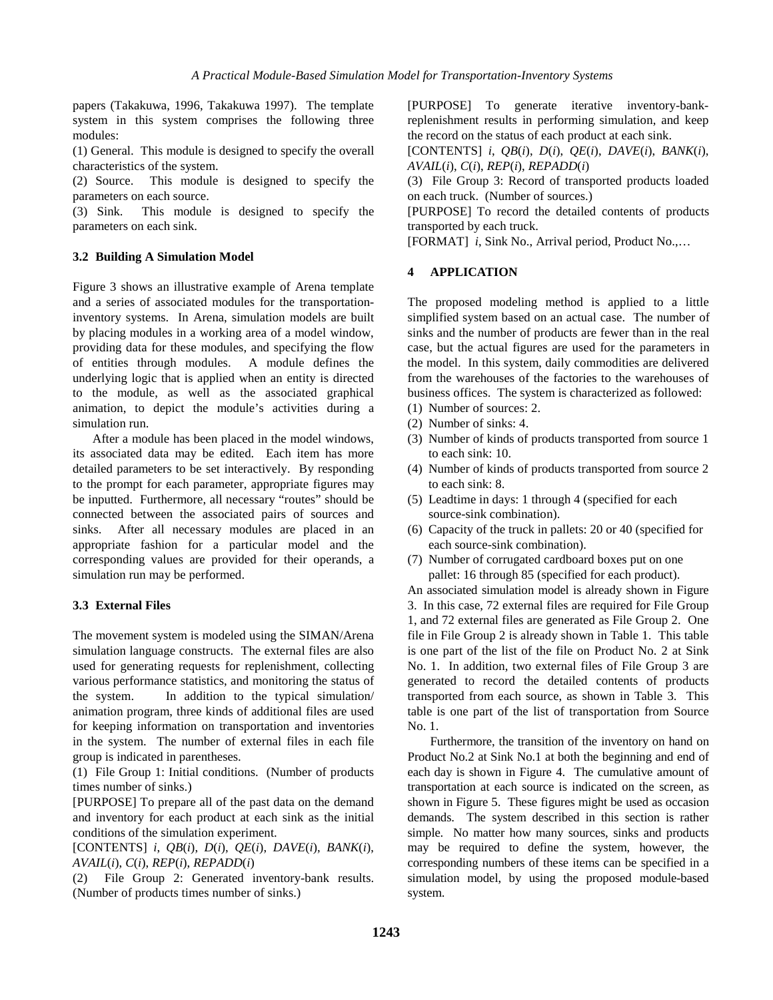papers (Takakuwa, 1996, Takakuwa 1997). The template system in this system comprises the following three modules:

(1) General. This module is designed to specify the overall characteristics of the system.

(2) Source. This module is designed to specify the parameters on each source.

(3) Sink. This module is designed to specify the parameters on each sink.

## **3.2 Building A Simulation Model**

Figure 3 shows an illustrative example of Arena template and a series of associated modules for the transportationinventory systems. In Arena, simulation models are built by placing modules in a working area of a model window, providing data for these modules, and specifying the flow of entities through modules. A module defines the underlying logic that is applied when an entity is directed to the module, as well as the associated graphical animation, to depict the module's activities during a simulation run.

After a module has been placed in the model windows, its associated data may be edited. Each item has more detailed parameters to be set interactively. By responding to the prompt for each parameter, appropriate figures may be inputted. Furthermore, all necessary "routes" should be connected between the associated pairs of sources and sinks. After all necessary modules are placed in an appropriate fashion for a particular model and the corresponding values are provided for their operands, a simulation run may be performed.

# **3.3 External Files**

The movement system is modeled using the SIMAN/Arena simulation language constructs. The external files are also used for generating requests for replenishment, collecting various performance statistics, and monitoring the status of the system. In addition to the typical simulation/ animation program, three kinds of additional files are used for keeping information on transportation and inventories in the system. The number of external files in each file group is indicated in parentheses.

(1) File Group 1: Initial conditions. (Number of products times number of sinks.)

[PURPOSE] To prepare all of the past data on the demand and inventory for each product at each sink as the initial conditions of the simulation experiment.

[CONTENTS] *i*, *QB*(*i*), *D*(*i*), *QE*(*i*), *DAVE*(*i*), *BANK*(*i*),  $AVALU(i), C(i), REP(i), REPADD(i)$ 

(2) File Group 2: Generated inventory-bank results. (Number of products times number of sinks.)

[PURPOSE] To generate iterative inventory-bankreplenishment results in performing simulation, and keep the record on the status of each product at each sink.

[CONTENTS] *i*, *QB*(*i*), *D*(*i*), *QE*(*i*), *DAVE*(*i*), *BANK*(*i*),  $AVALU(i), C(i), REP(i), REPADD(i)$ 

(3) File Group 3: Record of transported products loaded on each truck. (Number of sources.)

[PURPOSE] To record the detailed contents of products transported by each truck.

[FORMAT] *i*, Sink No., Arrival period, Product No.,…

# **4 APPLICATION**

The proposed modeling method is applied to a little simplified system based on an actual case. The number of sinks and the number of products are fewer than in the real case, but the actual figures are used for the parameters in the model. In this system, daily commodities are delivered from the warehouses of the factories to the warehouses of business offices. The system is characterized as followed:

- (1) Number of sources: 2.
- (2) Number of sinks: 4.
- (3) Number of kinds of products transported from source 1 to each sink: 10.
- (4) Number of kinds of products transported from source 2 to each sink: 8.
- (5) Leadtime in days: 1 through 4 (specified for each source-sink combination).
- (6) Capacity of the truck in pallets: 20 or 40 (specified for each source-sink combination).
- (7) Number of corrugated cardboard boxes put on one pallet: 16 through 85 (specified for each product).

An associated simulation model is already shown in Figure 3. In this case, 72 external files are required for File Group 1, and 72 external files are generated as File Group 2. One file in File Group 2 is already shown in Table 1. This table is one part of the list of the file on Product No. 2 at Sink No. 1. In addition, two external files of File Group 3 are generated to record the detailed contents of products transported from each source, as shown in Table 3. This table is one part of the list of transportation from Source No. 1.

Furthermore, the transition of the inventory on hand on Product No.2 at Sink No.1 at both the beginning and end of each day is shown in Figure 4. The cumulative amount of transportation at each source is indicated on the screen, as shown in Figure 5. These figures might be used as occasion demands. The system described in this section is rather simple. No matter how many sources, sinks and products may be required to define the system, however, the corresponding numbers of these items can be specified in a simulation model, by using the proposed module-based system.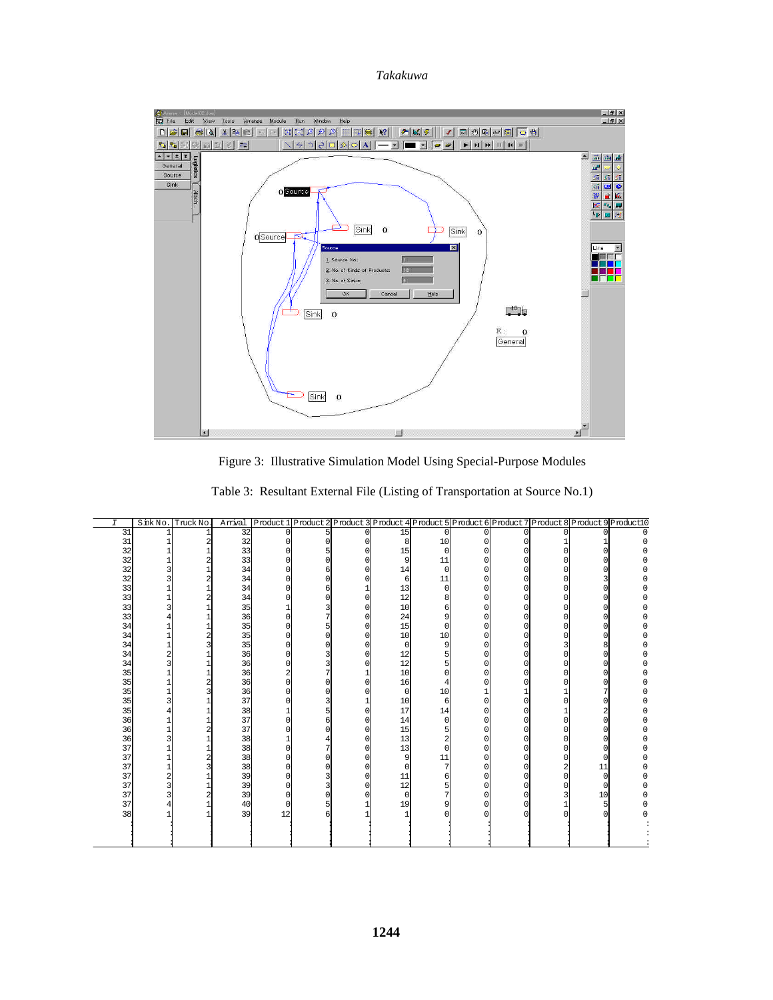*Takakuwa*



Figure 3: Illustrative Simulation Model Using Special-Purpose Modules

| $\tau$   | Sink No. | Truck No. | Arrival  |          |   |                |             |                |              |          |          | Product 1 Product 2 Product 3 Product 4 Product 5 Product 6 Product 7 Product 8 Product 9 Product 10 |
|----------|----------|-----------|----------|----------|---|----------------|-------------|----------------|--------------|----------|----------|------------------------------------------------------------------------------------------------------|
| 31       |          |           | 32       | $\Omega$ | 5 | $\overline{0}$ | 15          | $\mathbf 0$    | <sup>n</sup> | $\Omega$ | $\Omega$ | U                                                                                                    |
| 31       |          | 2         | 32       | 0        | U |                | 8           | 10             |              | 0        |          | 0                                                                                                    |
| 32       |          |           | 33       | O        | 5 |                | 15          | $\Omega$       |              | U        |          | $\Omega$                                                                                             |
| 32       |          | 2         | 33       |          |   |                | 9           | 11             |              | $\Omega$ |          |                                                                                                      |
| 32       |          |           | 34       |          |   |                | 14          | $\Omega$       |              | 0        |          |                                                                                                      |
| 32<br>33 |          | 2         | 34<br>34 | O<br>U   | 6 |                | 6<br>13     | 11<br>$\Omega$ |              | 0<br>0   |          |                                                                                                      |
| 33       |          | 2         | 34       | U        |   |                | 12          |                |              | 0        |          |                                                                                                      |
| 33       |          |           | 35       |          |   |                | 10          |                |              | 0        | $\Omega$ | 0                                                                                                    |
| 33       |          |           | 36       | $\Omega$ |   |                | 24          |                |              | 0        | $\Omega$ | U                                                                                                    |
| 34       |          |           | 35       | U        |   |                | 15          |                |              | 0        |          |                                                                                                      |
| 34       |          | 2         | 35       | U        |   |                | $10$        | 10             |              | $\Omega$ |          | U                                                                                                    |
| 34       |          | 3         | 35       | U        |   |                | $\mathbf 0$ | 9              |              | 0        | 8        | 0                                                                                                    |
| 34       |          |           | 36       | U        |   |                | 12          |                |              | 0        |          | 0                                                                                                    |
| 34       |          |           | 36       | O        |   |                | 12          |                |              | $\Omega$ |          | 0                                                                                                    |
| 35       |          |           | 36       |          |   |                | 10          |                |              | 0        |          | U                                                                                                    |
| 35       |          | 2         | 36       | U        |   |                | 16          |                |              | 0        |          |                                                                                                      |
| 35       |          | 3         | 36       |          |   |                | $\circ$     | $10$           |              | 1        |          |                                                                                                      |
| 35<br>35 |          |           | 37<br>38 | O        | 5 |                | $10$<br>17  | 6<br>14        |              | 0<br>0   | 0        |                                                                                                      |
| 36       |          |           | 37       | $\Omega$ |   |                | 14          | $\Omega$       |              | 0        | $\Omega$ |                                                                                                      |
| 36       |          | 2         | 37       | U        |   | Ωl             | 15          |                |              | 0        | $\Omega$ |                                                                                                      |
| 36       |          |           | 38       |          |   |                | 13          |                |              | 0        |          |                                                                                                      |
| 37       |          |           | 38       | $\Omega$ |   |                | 13          | 0              |              | $\Omega$ | $\Omega$ |                                                                                                      |
| 37       |          | 2         | 38       | $\Omega$ |   |                | 9           | 11             |              | 0        | $\Omega$ | U                                                                                                    |
| 37       |          | 3         | 38       | U        |   |                | $\Omega$    | 7              |              | $\Omega$ | 11       | U                                                                                                    |
| 37       |          |           | 39       |          |   |                | 11          |                |              | 0        | $\Omega$ | U                                                                                                    |
| 37       |          |           | 39       |          |   |                | 12          |                |              | 0        | $\Omega$ | U                                                                                                    |
| 37       |          | 2         | 39       |          |   |                | $\Omega$    |                |              | $\Omega$ | 10       |                                                                                                      |
| 37       |          |           | 40       | $\Omega$ |   |                | 19          |                |              | 0        |          |                                                                                                      |
| 38       |          |           | 39       | 12       |   |                | 1           |                |              | $\cap$   |          |                                                                                                      |
|          |          |           |          |          |   |                |             |                |              |          |          |                                                                                                      |
|          |          |           |          |          |   |                |             |                |              |          |          |                                                                                                      |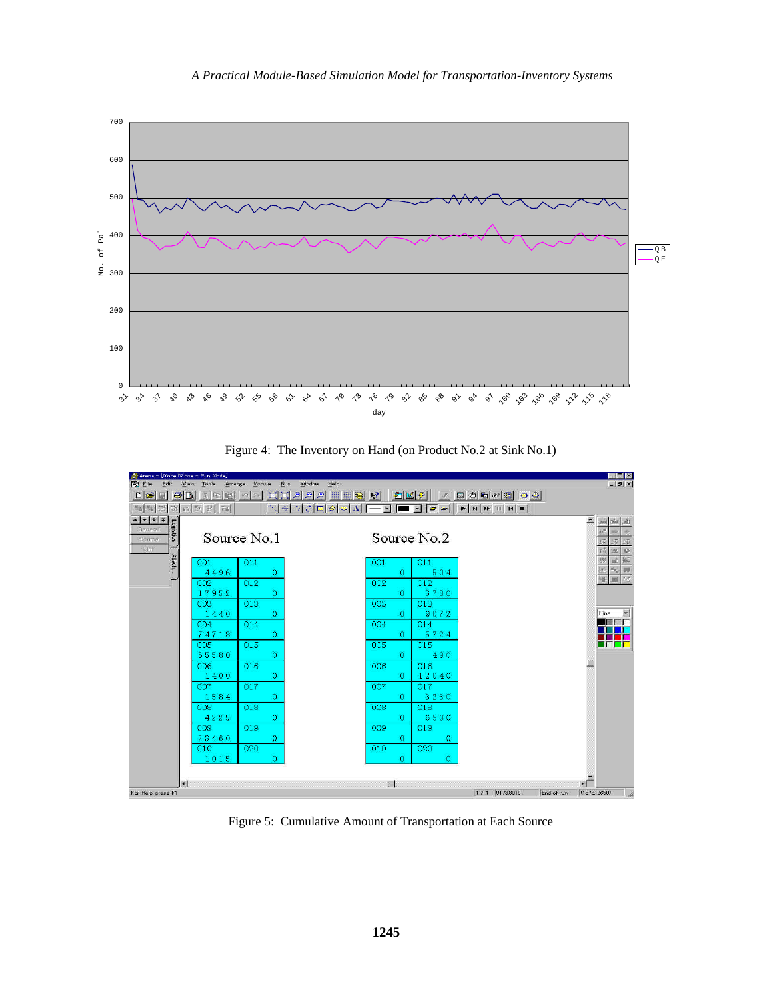





Figure 5: Cumulative Amount of Transportation at Each Source